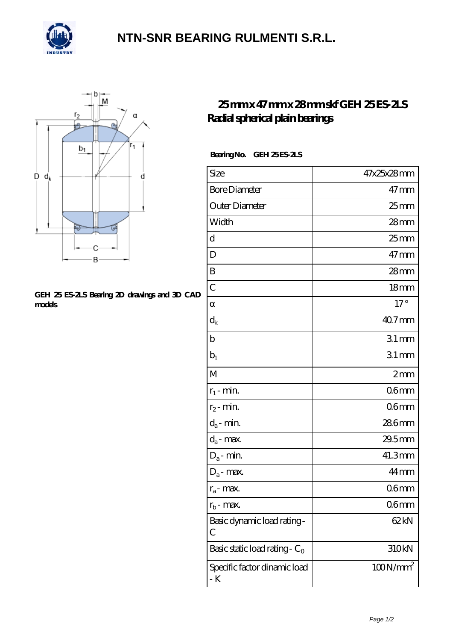

## **[NTN-SNR BEARING RULMENTI S.R.L.](https://m.confidencemenimprov.com)**



#### **[GEH 25 ES-2LS Bearing 2D drawings and 3D CAD](https://m.confidencemenimprov.com/pic-64975070.html) [models](https://m.confidencemenimprov.com/pic-64975070.html)**

### **[25 mm x 47 mm x 28 mm skf GEH 25 ES-2LS](https://m.confidencemenimprov.com/bd-64975070-skf-geh-25-es-2ls-radial-spherical-plain-bearings.html) [Radial spherical plain bearings](https://m.confidencemenimprov.com/bd-64975070-skf-geh-25-es-2ls-radial-spherical-plain-bearings.html)**

### Bearing No. GEH 25 ES-2LS

| Size                                      | 47x25x28mm       |
|-------------------------------------------|------------------|
| <b>Bore Diameter</b>                      | $47$ mm          |
| Outer Diameter                            | $25$ mm          |
| Width                                     | $28$ mm          |
| d                                         | 25 <sub>mm</sub> |
| D                                         | $47 \text{mm}$   |
| B                                         | $28$ mm          |
| $\overline{C}$                            | 18 <sub>mm</sub> |
|                                           | $17^\circ$       |
| $\rm{d}_k$                                | 40.7mm           |
| b                                         | $31$ mm          |
| $b_1$                                     | $31$ mm          |
| M                                         | 2mm              |
| $r_1$ - min.                              | 06 <sub>mm</sub> |
| $r_2$ - min.                              | 06 <sub>mm</sub> |
| $d_a$ - min.                              | 286mm            |
| $d_a$ - max.                              | 29.5mm           |
| $D_a$ - min.                              | 41.3mm           |
| $D_a$ - max.                              | 44 <sub>mm</sub> |
| $r_a$ - max.                              | 06mm             |
| $r_{b}$ - max.                            | 06 <sub>mm</sub> |
| Basic dynamic load rating-<br>С           | 62kN             |
| Basic static load rating - C <sub>0</sub> | 310kN            |
| Specific factor dinamic load<br>- K       | $100N/mm^2$      |